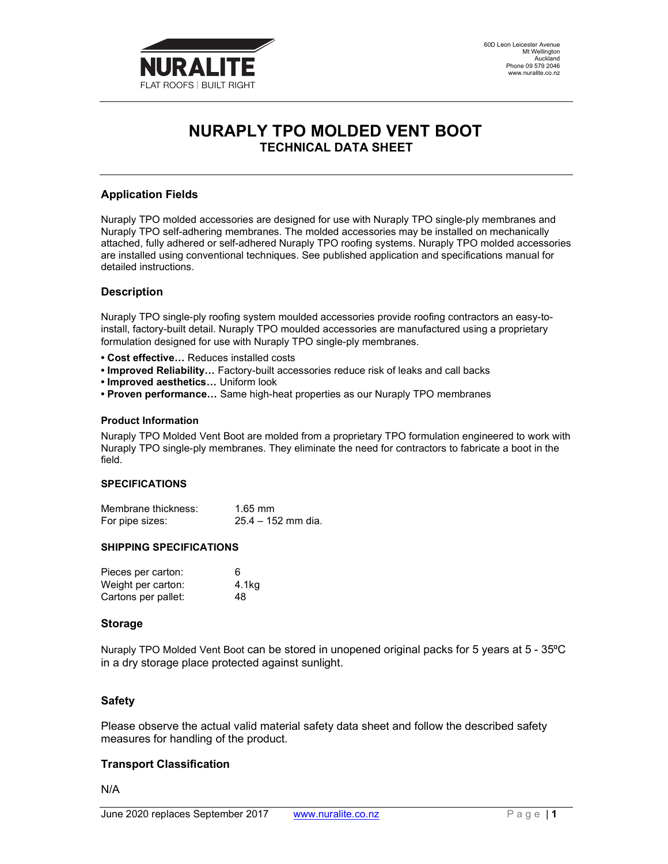

# NURAPLY TPO MOLDED VENT BOOT TECHNICAL DATA SHEET

## Application Fields

Nuraply TPO molded accessories are designed for use with Nuraply TPO single-ply membranes and Nuraply TPO self-adhering membranes. The molded accessories may be installed on mechanically attached, fully adhered or self-adhered Nuraply TPO roofing systems. Nuraply TPO molded accessories are installed using conventional techniques. See published application and specifications manual for detailed instructions.

## **Description**

Nuraply TPO single-ply roofing system moulded accessories provide roofing contractors an easy-toinstall, factory-built detail. Nuraply TPO moulded accessories are manufactured using a proprietary formulation designed for use with Nuraply TPO single-ply membranes.

- Cost effective… Reduces installed costs
- Improved Reliability… Factory-built accessories reduce risk of leaks and call backs
- Improved aesthetics… Uniform look
- Proven performance… Same high-heat properties as our Nuraply TPO membranes

#### Product Information

Nuraply TPO Molded Vent Boot are molded from a proprietary TPO formulation engineered to work with Nuraply TPO single-ply membranes. They eliminate the need for contractors to fabricate a boot in the field.

### SPECIFICATIONS

| Membrane thickness: | $1.65$ mm          |
|---------------------|--------------------|
| For pipe sizes:     | 25.4 – 152 mm dia. |

#### SHIPPING SPECIFICATIONS

| Pieces per carton:  | 6     |
|---------------------|-------|
| Weight per carton:  | 4.1kg |
| Cartons per pallet: | 48    |

### Storage

Nuraply TPO Molded Vent Boot can be stored in unopened original packs for 5 years at 5 - 35°C in a dry storage place protected against sunlight.

### Safety

Please observe the actual valid material safety data sheet and follow the described safety measures for handling of the product.

### Transport Classification

N/A